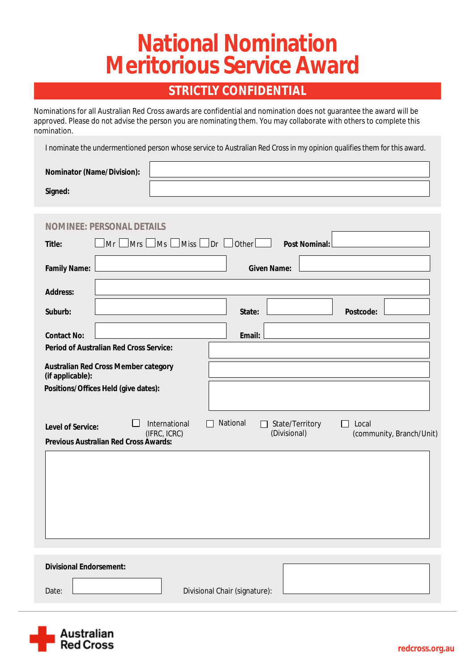# **National Nomination<br>Meritorious Service Award**

### **STRICTLY CONFIDENTIAL**

Nominations for all Australian Red Cross awards are confidential and nomination does not guarantee the award will be approved. Please do not advise the person you are nominating them. You may collaborate with others to complete this nomination.

I nominate the undermentioned person whose service to Australian Red Cross in my opinion qualifies them for this award.

| <b>Nominator (Name/Division):</b> |  |
|-----------------------------------|--|
| Signed:                           |  |

| <b>INEE: PERSONAL DETAILS</b><br>NOM                                                                                                                                                                                               |                                                                               |  |
|------------------------------------------------------------------------------------------------------------------------------------------------------------------------------------------------------------------------------------|-------------------------------------------------------------------------------|--|
| $\Box$ Mrs $\Box$<br>$\Box$ Ms<br>Mr<br><b>Title:</b>                                                                                                                                                                              | $\lfloor$ Miss $\lfloor$ Dr $\lfloor$ Other $\lfloor$<br><b>Post Nominal:</b> |  |
| <b>Family Name:</b>                                                                                                                                                                                                                | <b>Given Name:</b>                                                            |  |
| <b>Address:</b>                                                                                                                                                                                                                    |                                                                               |  |
| Suburb:                                                                                                                                                                                                                            | <b>Postcode:</b><br><b>State:</b>                                             |  |
| <b>Contact No:</b>                                                                                                                                                                                                                 | <b>Email:</b>                                                                 |  |
| <b>Period of Australian Red Cross Service:</b>                                                                                                                                                                                     |                                                                               |  |
| <b>Australian Red Cross Member category</b><br>(if applicable):                                                                                                                                                                    |                                                                               |  |
| Positions/Offices Held (give dates):                                                                                                                                                                                               |                                                                               |  |
| <b>National</b><br><b>International</b><br><b>State/Territory</b><br>Local<br>$\mathbf{L}$<br><b>Level of Service:</b><br>(Divisional)<br>(IFRC, ICRC)<br>(community, Branch/Unit)<br><b>Previous Australian Red Cross Awards:</b> |                                                                               |  |
|                                                                                                                                                                                                                                    |                                                                               |  |
|                                                                                                                                                                                                                                    |                                                                               |  |
| <b>Divisional Endorsement:</b>                                                                                                                                                                                                     |                                                                               |  |
|                                                                                                                                                                                                                                    |                                                                               |  |
| Date:                                                                                                                                                                                                                              | <b>Divisional Chair (signature):</b>                                          |  |

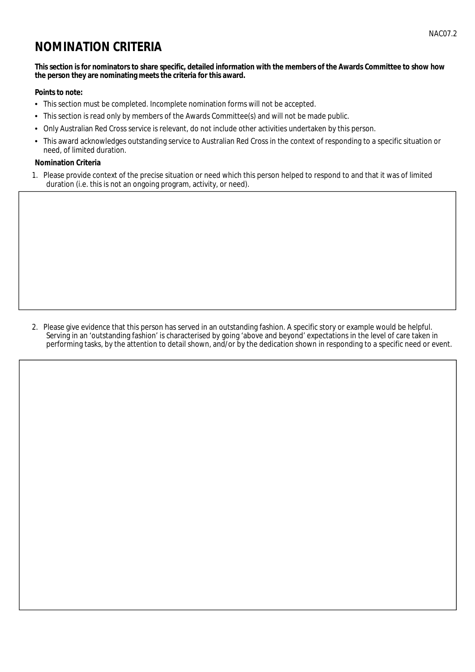## **NOMINATION CRITERIA**

#### This section is for nominators to share specific, detailed information with the members of the Awards Committee to show how the person they are nominating meets the criteria for this award.

#### **Points to note:**

- This section must be completed. Incomplete nomination forms will not be accepted.
- $\bullet$ This section is read only by members of the Awards Committee(s) and will not be made public.
- Only Australian Red Cross service is relevant, do not include other activities undertaken by this person.  $\bullet$
- This award acknowledges outstanding service to Australian Red Cross in the context of responding to a specific situation or  $\bullet$ need, of limited duration.

#### **Nomination Criteria**

1. Please provide context of the precise situation or need which this person helped to respond to and that it was of limited duration (i.e. this is not an ongoing program, activity, or need).

2. Please give evidence that this person has served in an outstanding fashion. A specific story or example would be helpful. Serving in an 'outstanding fashion' is characterised by going 'above and beyond' expectations in the level of care taken in performing tasks, by the attention to detail shown, and/or by the dedication shown in responding to a specific need or event.